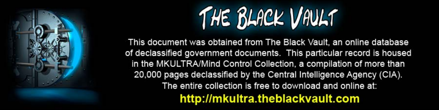

This document was obtained from The Black Vault, an online database of declassified government documents. This particular record is housed in the MKULTRA/Mind Control Collection, a compilation of more than 20,000 pages declassified by the Central Intelligence Agency (CIA). The entire collection is free to download and online at: http://mkultra.theblackvault.com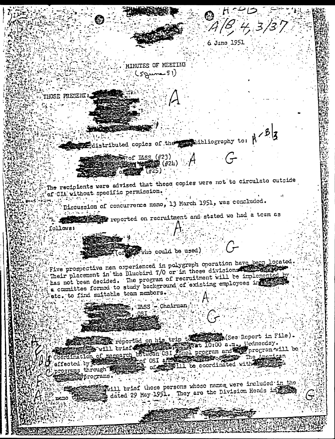MINUTES OF MEETING  $(59$ ime  $51)$ 

18, 4, 3/3',

6 June 1951

THOSE PRESENT

Edistributed copies of the probabilities apply to:  $\beta$ 

 $\frac{1}{2000}$  of I&SS (#23) 1000 (124)  $\mathbf{F}^{(n+25)}$ **TAN OUTER** 

The recipients were advised that these copies were not to circulate outside of CIA without specific permission.

Discussion of concurrence memo, 13 March 1951, was concluded.

医乳糖蛋白 机空气 reported on recruitment and stated we had a tesm as 39 M

tollous:

who could be used)

Five prospective non oxperienced in polygraph operation have been located. Their placement in the Bluebird T/O or in those division has not been decided. The program of recruitment will be implemented b a committee formed to study background of existing employees in etc. to find suitable team members.

Mn. R.SS - Chairman

See Report in File).

exported on his trip to the second in File).<br>Coordination of recearch between OSI Phnol program and his program will be<br>coordination of recearch between OSI Phnol program and his program will be<br>effected by concearch of th effected by **ACCE** Mill to coordinated with the programs through r of 22 brograms.

will brief those persons whose names were included in the dated 29 May 1951. They are the Division Heads in